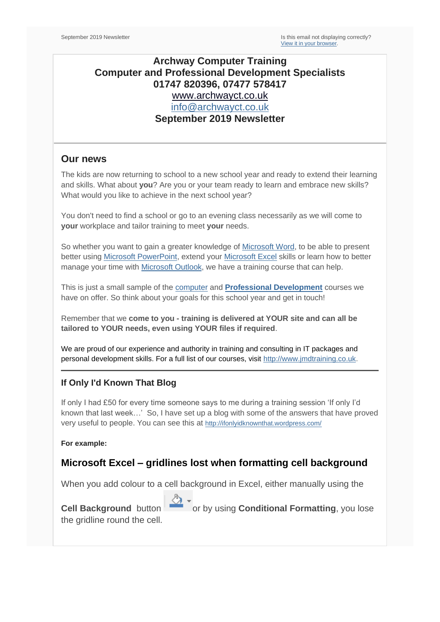## **Archway Computer Training Computer and Professional Development Specialists 01747 820396, 07477 578417** [www.archwayct.co.uk](http://www.archwayct.co.uk/) [info@archwayct.co.uk](mailto:%20info@archwayct.co.uk) **September 2019 Newsletter**

#### **Our news**

The kids are now returning to school to a new school year and ready to extend their learning and skills. What about **you**? Are you or your team ready to learn and embrace new skills? What would you like to achieve in the next school year?

You don't need to find a school or go to an evening class necessarily as we will come to **your** workplace and tailor training to meet **your** needs.

So whether you want to gain a greater knowledge of [Microsoft Word,](http://www.archwayct.co.uk/microsoft-office-training/microsoft-word-training) to be able to present better using [Microsoft PowerPoint,](http://www.archwayct.co.uk/microsoft-office-training/microsoft-powerpoint-training) extend your [Microsoft Excel](http://www.archwayct.co.uk/microsoft-office-training/microsoft-excel-training) skills or learn how to better manage your time with [Microsoft Outlook,](http://www.archwayct.co.uk/microsoft-office-training/microsoft-outlook-training) we have a training course that can help.

This is just a small sample of the [computer](http://www.archwayct.co.uk/it-training) and **[Professional Development](http://www.archwayct.co.uk/professional-development-training)** courses we have on offer. So think about your goals for this school year and get in touch!

Remember that we **come to you - training is delivered at YOUR site and can all be tailored to YOUR needs, even using YOUR files if required**.

We are proud of our experience and authority in training and consulting in IT packages and personal development skills. For a full list of our courses, visit [http://www.jmdtraining.co.uk.](http://www.archwayct.co.uk/)

### **If Only I'd Known That Blog**

If only I had £50 for every time someone says to me during a training session 'If only I'd known that last week…' So, I have set up a blog with some of the answers that have proved very useful to people. You can see this at <http://ifonlyidknownthat.wordpress.com/>

**For example:**

## **Microsoft Excel – gridlines lost when formatting cell background**

When you add colour to a cell background in Excel, either manually using the

**Cell Background** button  $\sqrt{\frac{34}{10}}$  or by using **Conditional Formatting**, you lose the gridline round the cell.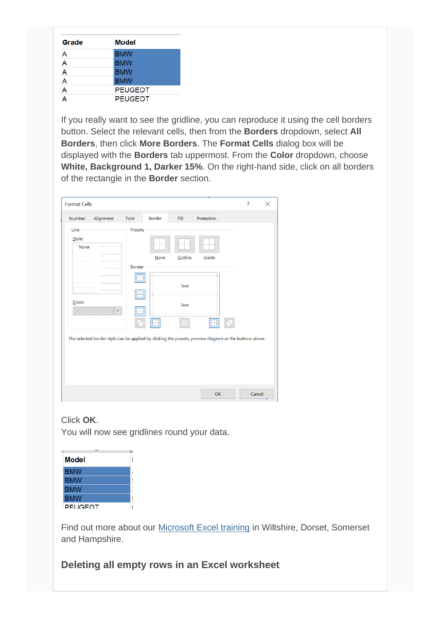| Grade | <b>Model</b>   |  |  |  |  |  |
|-------|----------------|--|--|--|--|--|
| A     | <b>BMW</b>     |  |  |  |  |  |
| A     | <b>BMW</b>     |  |  |  |  |  |
| A     | <b>BMW</b>     |  |  |  |  |  |
| A     | <b>BMW</b>     |  |  |  |  |  |
| A     | <b>PEUGEOT</b> |  |  |  |  |  |
| A     | <b>PEUGEOT</b> |  |  |  |  |  |

If you really want to see the gridline, you can reproduce it using the cell borders button. Select the relevant cells, then from the **Borders** dropdown, select **All Borders**, then click **More Borders**. The **Format Cells** dialog box will be displayed with the **Borders** tab uppermost. From the **Color** dropdown, choose **White, Background 1, Darker 15%**. On the right-hand side, click on all borders of the rectangle in the **Border** section.

| Number<br>Alignment                                                                                                                                                     | Font                     | <b>Border</b> | Fill                                        | Protection |  |  |
|-------------------------------------------------------------------------------------------------------------------------------------------------------------------------|--------------------------|---------------|---------------------------------------------|------------|--|--|
| Line<br>Style:<br><b>None</b><br>Color:<br>.<br>$\checkmark$<br>The selected border style can be applied by clicking the presets, preview diagram or the buttons above. | Presets<br><b>Border</b> | None          | <b>Outline</b><br><b>Text</b><br>Text<br>FF | Inside     |  |  |

### Click **OK**.

You will now see gridlines round your data.

| Model          |  |
|----------------|--|
| <b>BMW</b>     |  |
| <b>BMW</b>     |  |
| <b>BMW</b>     |  |
| <b>BMW</b>     |  |
| <b>PEUGEOT</b> |  |

Find out more about our [Microsoft Excel training](http://www.archwayct.co.uk/microsoft-office-training/microsoft-excel-training) in Wiltshire, Dorset, Somerset and Hampshire.

## **Deleting all empty rows in an Excel worksheet**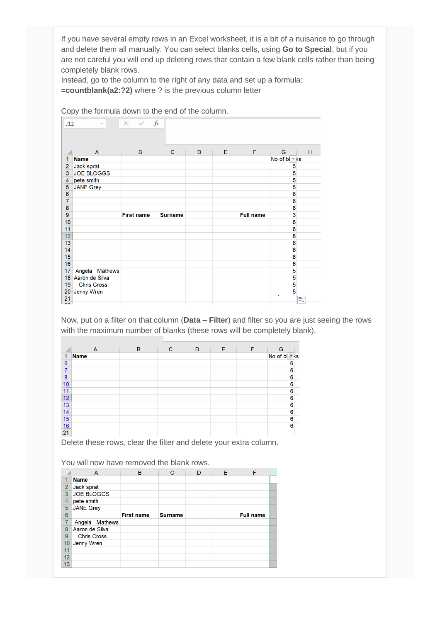If you have several empty rows in an Excel worksheet, it is a bit of a nuisance to go through and delete them all manually. You can select blanks cells, using **Go to Special**, but if you are not careful you will end up deleting rows that contain a few blank cells rather than being completely blank rows.

Instead, go to the column to the right of any data and set up a formula: **=countblank(a2:?2)** where ? is the previous column letter

|                         | Copy the formula down to the end of the column.                |                   |                |   |   |                  |                         |          |  |  |
|-------------------------|----------------------------------------------------------------|-------------------|----------------|---|---|------------------|-------------------------|----------|--|--|
|                         | fx<br>H.<br>$\times$ $\checkmark$<br>J12<br>$\bar{\mathbf{v}}$ |                   |                |   |   |                  |                         |          |  |  |
|                         | $\overline{A}$                                                 | B                 | $\mathbf C$    | D | E | F                | G                       | Н        |  |  |
| 1                       | <b>Name</b>                                                    |                   |                |   |   |                  | No of $bl \times ks$    |          |  |  |
| $\overline{a}$          | Jack sprat                                                     |                   |                |   |   |                  | 5                       |          |  |  |
| 3                       | <b>JOE BLOGGS</b>                                              |                   |                |   |   |                  | 5                       |          |  |  |
| $\overline{\mathbf{4}}$ | pete smith                                                     |                   |                |   |   |                  | 5                       |          |  |  |
| 5                       | <b>JANE Grey</b>                                               |                   |                |   |   |                  | 5                       |          |  |  |
| 6                       |                                                                |                   |                |   |   |                  | 6                       |          |  |  |
| 7                       |                                                                |                   |                |   |   |                  | 6                       |          |  |  |
| 8                       |                                                                |                   |                |   |   |                  | 6                       |          |  |  |
| 9                       |                                                                | <b>First name</b> | <b>Surname</b> |   |   | <b>Full name</b> | 3                       |          |  |  |
| 10                      |                                                                |                   |                |   |   |                  | 6                       |          |  |  |
| 11                      |                                                                |                   |                |   |   |                  | 6<br>6                  |          |  |  |
| 12<br>13                |                                                                |                   |                |   |   |                  | 6                       |          |  |  |
| 14                      |                                                                |                   |                |   |   |                  | 6                       |          |  |  |
| 15                      |                                                                |                   |                |   |   |                  | 6                       |          |  |  |
| 16                      |                                                                |                   |                |   |   |                  | 6                       |          |  |  |
| 17                      | Angela Mathews                                                 |                   |                |   |   |                  | 5                       |          |  |  |
| 18                      | Aaron de Silva                                                 |                   |                |   |   |                  | $\overline{\mathbf{5}}$ |          |  |  |
| 19                      | <b>Chris Cross</b>                                             |                   |                |   |   |                  | 5                       |          |  |  |
| 20                      | Jenny Wren                                                     |                   |                |   |   |                  | 5                       |          |  |  |
| 21                      |                                                                |                   |                |   |   |                  |                         | $\Box^+$ |  |  |
| $\sim$                  |                                                                |                   |                |   |   |                  |                         |          |  |  |

Now, put on a filter on that column (**Data – Filter**) and filter so you are just seeing the rows with the maximum number of blanks (these rows will be completely blank).

|                  | $\Lambda$   | B | $\mathbf C$ | D | E. | F | G                        |
|------------------|-------------|---|-------------|---|----|---|--------------------------|
| 1                | <b>Name</b> |   |             |   |    |   | No of bl <sup>™</sup> ks |
| $6\phantom{1}6$  |             |   |             |   |    |   | 6                        |
| $\overline{7}$   |             |   |             |   |    |   | $\bf{6}$                 |
| $\boldsymbol{8}$ |             |   |             |   |    |   | 6                        |
| 10               |             |   |             |   |    |   | $\overline{6}$           |
| 11               |             |   |             |   |    |   | 6                        |
| 12               |             |   |             |   |    |   | 6                        |
| 13               |             |   |             |   |    |   | $\overline{6}$           |
| 14               |             |   |             |   |    |   | $\overline{6}$           |
| 15               |             |   |             |   |    |   | $\overline{6}$           |
| 16               |             |   |             |   |    |   | 6                        |
| 21               |             |   |             |   |    |   |                          |

Delete these rows, clear the filter and delete your extra column.

You will now have removed the blank rows.

|                | A                  | B                 | C              | D | E. | F                |  |
|----------------|--------------------|-------------------|----------------|---|----|------------------|--|
| и              | <b>Name</b>        |                   |                |   |    |                  |  |
| $\overline{2}$ | Jack sprat         |                   |                |   |    |                  |  |
| 3              | <b>JOE BLOGGS</b>  |                   |                |   |    |                  |  |
| $\overline{4}$ | pete smith         |                   |                |   |    |                  |  |
| 5              | <b>JANE Grey</b>   |                   |                |   |    |                  |  |
| 6              |                    | <b>First name</b> | <b>Surname</b> |   |    | <b>Full name</b> |  |
| $\overline{7}$ | Angela Mathews     |                   |                |   |    |                  |  |
| 8              | Aaron de Silva     |                   |                |   |    |                  |  |
| 9              | <b>Chris Cross</b> |                   |                |   |    |                  |  |
| 10             | Jenny Wren         |                   |                |   |    |                  |  |
| 11             |                    |                   |                |   |    |                  |  |
| 12             |                    |                   |                |   |    |                  |  |
| 13             |                    |                   |                |   |    |                  |  |